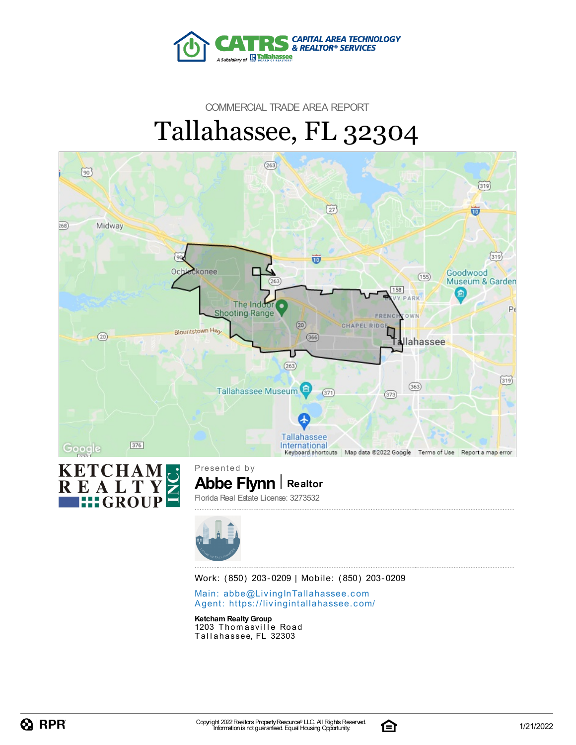

### COMMERCIAL TRADE AREA REPORT Tallahassee, FL 32304



Work: (850) 203-0209 | Mobile: (850) 203-0209

Main: abbe@LivingInTallaha[sse](mailto:abbe@LivingInTallahassee.com)e.com Agent: https://livingintallaha[sse](https://livingintallahassee.com/)e.com/

**Ketcham RealtyGroup** 1203 Thomasville Road Tallahassee, FL 32303

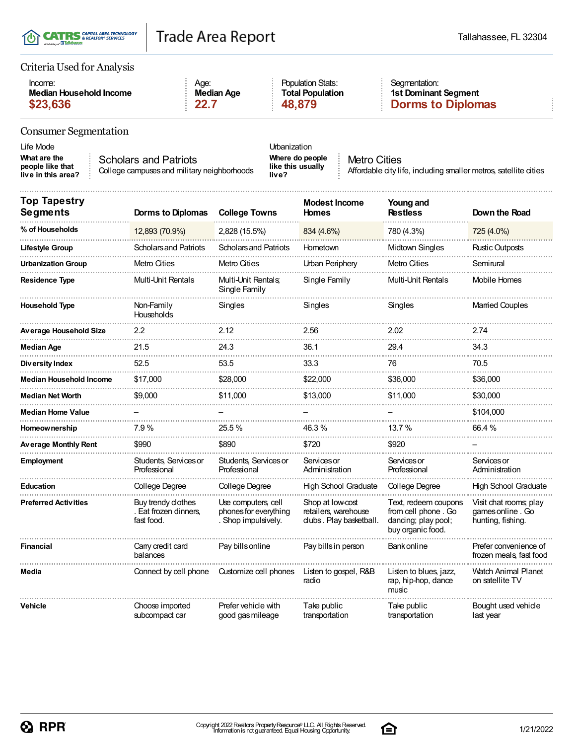|  | T(I) CATRS & REALTOR® SERVICES<br>A Subsidiary of <b>IR Tallahassee</b> |
|--|-------------------------------------------------------------------------|
|--|-------------------------------------------------------------------------|

#### Criteria Used for Analysis

| Income:                 | Age:       | <b>Population Stats:</b> |  |
|-------------------------|------------|--------------------------|--|
| Median Household Income | Median Age | <b>Total Population</b>  |  |
| \$23,636                | 22.7       | 48.879                   |  |

Segmentation: **1st Dominant Segment \$23,636 22.7 48,879 Dorms to Diplomas**

#### Consumer Segmentation

| Life Mode                                              |                                                                      | Urbanization                          |
|--------------------------------------------------------|----------------------------------------------------------------------|---------------------------------------|
| What are the<br>people like that<br>live in this area? | Scholars and Patriots<br>College campuses and military neighborhoods | Where do pe<br>like this usu<br>live? |

**Where do people like this usually live?**

Metro Cities Affordable city life, including smaller metros, satellite cities

| <b>Top Tapestry</b><br><b>Segments</b> | <b>Dorms to Diplomas</b>                                  | <b>College Towns</b>                                                | <b>Modest Income</b><br><b>Homes</b>                               | Young and<br><b>Restless</b>                                                            | Down the Road                                                   |
|----------------------------------------|-----------------------------------------------------------|---------------------------------------------------------------------|--------------------------------------------------------------------|-----------------------------------------------------------------------------------------|-----------------------------------------------------------------|
| % of Households                        | 12,893 (70.9%)                                            | 2,828 (15.5%)                                                       | 834 (4.6%)                                                         | 780 (4.3%)                                                                              | 725 (4.0%)                                                      |
| <b>Lifestyle Group</b>                 | <b>Scholars and Patriots</b>                              | <b>Scholars and Patriots</b>                                        | Hometown                                                           | Midtown Singles                                                                         | Rustic Outposts                                                 |
| <b>Urbanization Group</b>              | Metro Cities                                              | Metro Cities                                                        | Urban Periphery                                                    | Metro Cities                                                                            | Semirural                                                       |
| <b>Residence Type</b>                  | Multi-Unit Rentals                                        | Multi-Unit Rentals:<br>Single Family                                | Single Family                                                      | Multi-Unit Rentals                                                                      | Mobile Homes                                                    |
| <b>Household Type</b>                  | Non-Family<br>Households                                  | Singles                                                             | Singles                                                            | Singles                                                                                 | <b>Married Couples</b>                                          |
| <b>Average Household Size</b>          | $2.2\,$                                                   | 2.12                                                                | 2.56                                                               | 2.02                                                                                    | 2.74                                                            |
| Median Age                             | 21.5                                                      | 24.3                                                                | 36.1                                                               | 29.4                                                                                    | 34.3                                                            |
| Diversity Index                        | 52.5                                                      | 53.5                                                                | 33.3                                                               | 76                                                                                      | 70.5                                                            |
| <b>Median Household Income</b>         | \$17,000                                                  | \$28,000                                                            | \$22,000                                                           | \$36,000                                                                                | \$36,000                                                        |
| <b>Median Net Worth</b>                | \$9,000                                                   | \$11,000                                                            | \$13,000                                                           | \$11,000                                                                                | \$30,000                                                        |
| <b>Median Home Value</b>               |                                                           |                                                                     |                                                                    |                                                                                         | \$104,000                                                       |
| <b>Homeownership</b>                   | 7.9%                                                      | 25.5%                                                               | 46.3%                                                              | 13.7%                                                                                   | 66.4 %                                                          |
| <b>Average Monthly Rent</b>            | \$990                                                     | \$890                                                               | \$720                                                              | \$920                                                                                   |                                                                 |
| <b>Employment</b>                      | Students, Services or<br>Professional                     | Students, Services or<br>Professional                               | Services or<br>Administration                                      | Services or<br>Professional                                                             | Services or<br>Administration                                   |
| <b>Education</b>                       | College Degree                                            | College Degree                                                      | <b>High School Graduate</b>                                        | <b>College Degree</b>                                                                   | <b>High School Graduate</b>                                     |
| <b>Preferred Activities</b>            | Buy trendy clothes<br>. Eat frozen dinners,<br>fast food. | Use computers, cell<br>phones for everything<br>. Shop impulsively. | Shop at low-cost<br>retailers warehouse<br>clubs. Play basketball. | Text, redeem coupons<br>from cell phone. Go<br>dancing; play pool;<br>buy organic food. | Visit chat rooms; play<br>games online. Go<br>hunting, fishing. |
| <b>Financial</b>                       | Carry credit card<br>balances                             | Pay bills online                                                    | Pay bills in person                                                | Bank online                                                                             | Prefer convenience of<br>frozen meals, fast food                |
| Media                                  | Connect by cell phone                                     | Customize cell phones                                               | Listen to gospel, R&B<br>radio                                     | Listen to blues, jazz,<br>rap, hip-hop, dance<br>music                                  | Watch Animal Planet<br>on satellite TV                          |
| <b>Vehicle</b>                         | Choose imported<br>subcompact car                         | Prefer vehicle with<br>good gas mileage                             | Take public<br>transportation                                      | Take public<br>transportation                                                           | Bought used vehicle<br>last year                                |

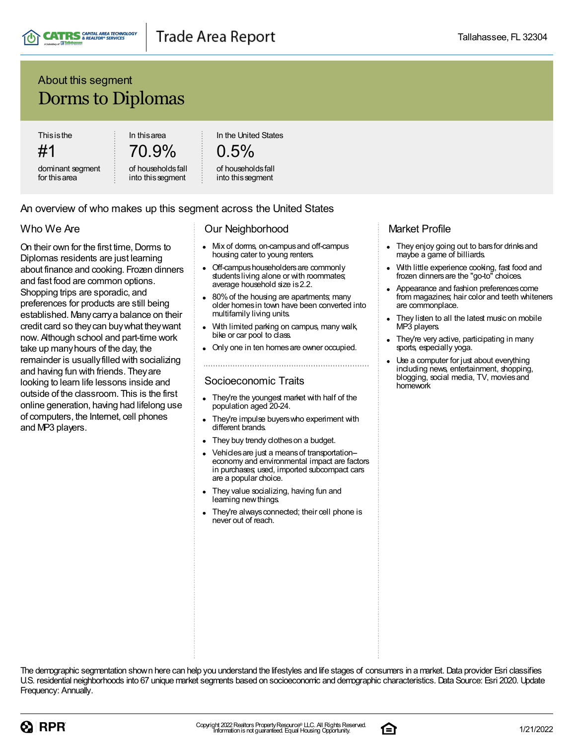

### About this segment Dorms to Diplomas

**Thisisthe** 

#1 dominant segment for thisarea

In thisarea 70.9%

of householdsfall into thissegment

In the United States

### $0.5%$

#### of householdsfall into thissegment

#### An overview of who makes up this segment across the United States

### Who We Are

On their own for the first time, Dorms to Diplomas residents are just learning about finance and cooking. Frozen dinners and fast food are common options. Shopping trips are sporadic, and preferences for products are still being established. Manycarrya balance on their credit card so theycan buywhat theywant now. Although school and part-time work take up manyhours of the day, the remainder is usually filled with socializing and having fun with friends. Theyare looking to learn life lessons inside and outside of the classroom. This is the first online generation, having had lifelong use of computers, the Internet, cell phones and MP3 players.

#### Our Neighborhood

- Mix of dorms, on-campus and off-campus  $\bullet$ housing cater to young renters.
- Off-campus householders are commonly studentsliving alone or with roommates; average household size is2.2.
- 80%of the housing are apartments; many older homesin town have been converted into multifamily living units.
- With limited parking on campus, many walk, bike or car pool to class.
- Only one in ten homesare owner occupied.

#### Socioeconomic Traits

- They're the youngest market with half of the population aged 20-24.
- They're impulse buyerswho experiment with different brands.
- They buy trendy clothes on a budget.
- Vehicles are just a means of transportationeconomy and environmental impact are factors in purchases; used, imported subcompact cars are a popular choice.
- They value socializing, having fun and learning new things.
- They're always connected; their cell phone is never out of reach.

#### Market Profile

- They enjoy going out to bars for drinks and maybe a game of billiards.
- With little experience cooking, fast food and frozen dinnersare the "go-to" choices.
- Appearance and fashion preferences come from magazines; hair color and teeth whiteners are commonplace.
- They listen to all the latest music on mobile MP3 players.
- They're very active, participating in many sports, especially yoga.
- Use a computer for just about everything including news, entertainment, shopping, blogging, social media, TV, moviesand homework

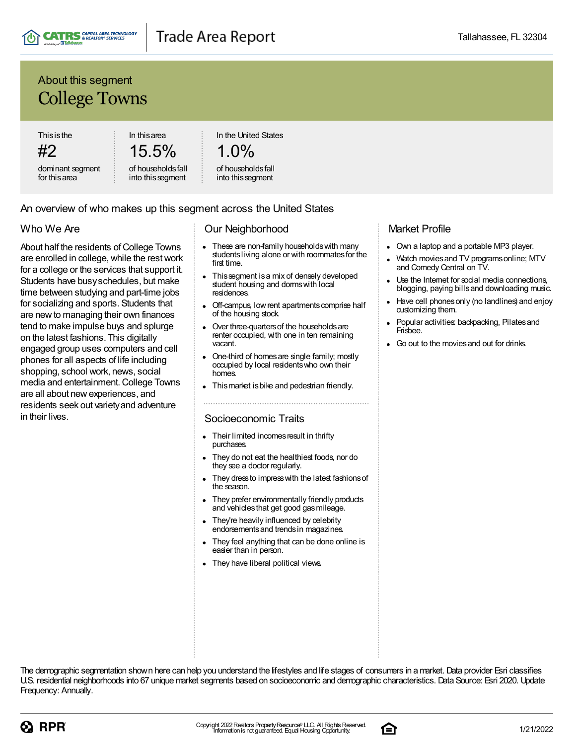

### About this segment College Towns

**Thisisthe** 

#2 dominant segment for thisarea

15.5% of householdsfall

into thissegment

In thisarea

In the United States

### 1.0%

#### of householdsfall into thissegment

#### An overview of who makes up this segment across the United States

#### Who We Are

About half the residents of College Towns are enrolled in college, while the rest work for a college or the services that support it. Students have busyschedules, but make time between studying and part-time jobs for socializing and sports. Students that are newto managing their own finances tend to make impulse buys and splurge on the latest fashions. This digitally engaged group uses computers and cell phones for all aspects of life including shopping, school work, news, social media and entertainment.College Towns are all about newexperiences, and residents seek out varietyand adventure in their lives.

#### Our Neighborhood

- These are non-family householdswith many studentsliving alone or with roommatesfor the first time.
- Thissegment isa mix of densely developed student housing and dorms with local residences.
- Off-campus, low rent apartments comprise half of the housing stock.
- Over three-quarters of the households are renter occupied, with one in ten remaining vacant.
- One-third of homesare single family; mostly occupied by local residentswho own their homes.
- Thismarket isbike and pedestrian friendly.

#### Socioeconomic Traits

- Their limited incomes result in thrifty purchases.
- They do not eat the healthiest foods, nor do they see a doctor regularly.
- They dress to impress with the latest fashions of the season.
- They prefer environmentally friendly products and vehiclesthat get good gasmileage.
- They're heavily influenced by celebrity endorsementsand trendsin magazines.
- They feel anything that can be done online is easier than in person.
- They have liberal political views.

#### Market Profile

- Own a laptop and a portable MP3 player.
- Watch moviesand TV programsonline; MTV and Comedy Central on TV.
- Use the Internet for social media connections, blogging, paying billsand downloading music.
- Have cell phonesonly (no landlines) and enjoy customizing them.
- Popular activities: backpacking, Pilates and Frisbee.
- Go out to the movies and out for drinks.



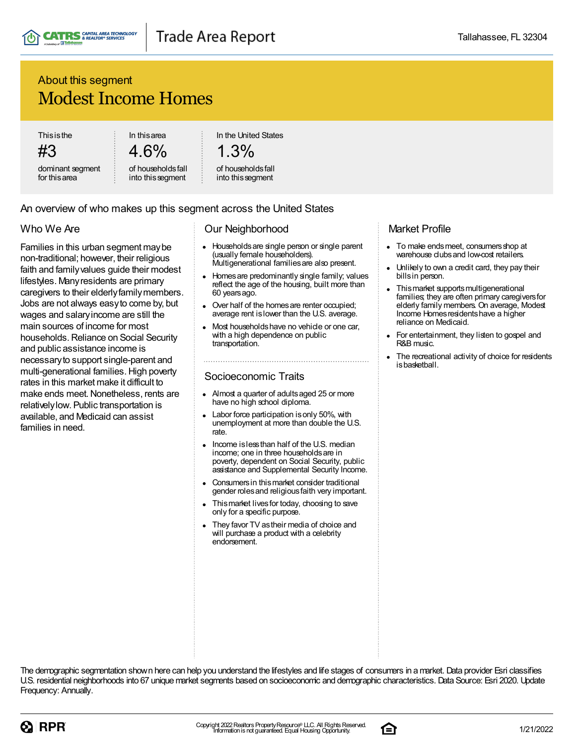### About this segment Modest Income Homes

**Thisisthe** 

#3

dominant segment for thisarea

In thisarea 4.6%

of householdsfall into thissegment

In the United States

### 1.3%

#### of householdsfall into this segment

#### An overview of who makes up this segment across the United States

### Who We Are

Families in this urban segment maybe non-traditional; however, their religious faith and familyvalues guide their modest lifestyles. Manyresidents are primary caregivers to their elderlyfamilymembers. Jobs are not always easyto come by, but wages and salaryincome are still the main sources of income for most households. Reliance on Social Security and public assistance income is necessaryto support single-parent and multi-generational families. High poverty rates in this market make it difficult to make ends meet. Nonetheless, rents are relativelylow. Public transportation is available, and Medicaid can assist families in need.

#### Our Neighborhood

- $\bullet$ Householdsare single person or single parent (usually female householders). Multigenerational familiesare also present.
- Homesare predominantly single family; values reflect the age of the housing, built more than 60 yearsago.
- Over half of the homes are renter occupied; average rent islower than the U.S. average.
- Most householdshave no vehicle or one car, with a high dependence on public transportation.

#### Socioeconomic Traits

- Almost a quarter of adultsaged 25 or more have no high school diploma.
- Labor force participation isonly 50%, with unemployment at more than double the U.S. rate.
- Income islessthan half of the U.S. median  $\bullet$ income; one in three householdsare in poverty, dependent on Social Security, public assistance and Supplemental Security Income.
- Consumersin thismarket consider traditional gender rolesand religiousfaith very important.
- Thismarket livesfor today, choosing to save only for a specific purpose.
- They favor TV astheir media of choice and will purchase a product with a celebrity endorsement.

#### Market Profile

- To make endsmeet, consumersshop at warehouse clubs and low-cost retailers.
- Unlikely to own a credit card, they pay their billsin person.
- Thismarket supportsmultigenerational families; they are often primary caregivers for elderly family members. On average, Modest Income Homesresidentshave a higher reliance on Medicaid.
- For entertainment, they listen to gospel and R&B music.
- The recreational activity of choice for residents isbasketball.



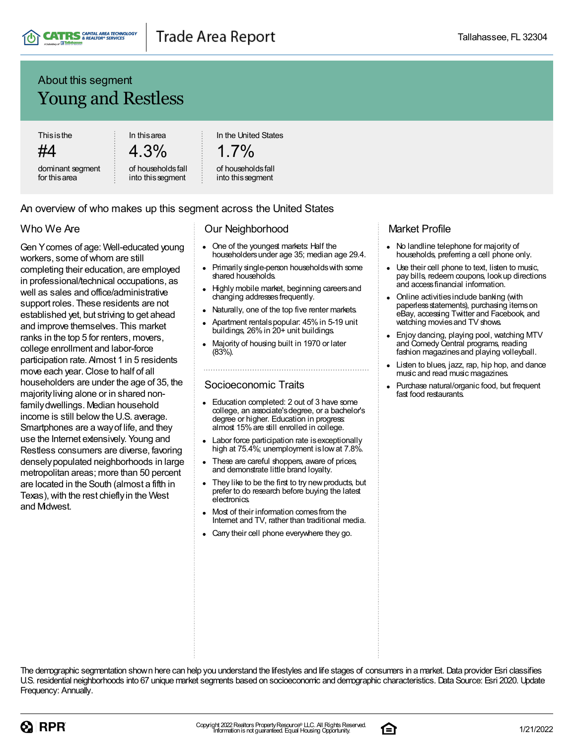

### About this segment Young and Restless

**Thisisthe** 

#4

dominant segment for thisarea

In thisarea 4.3%

of householdsfall into thissegment

In the United States

$$
1.7\%
$$

#### of householdsfall into thissegment

#### An overview of who makes up this segment across the United States

#### Who We Are

Gen Ycomes of age: Well-educated young workers, some of whom are still completing their education, are employed in professional/technical occupations, as well as sales and office/administrative support roles. These residents are not established yet, but striving to get ahead and improve themselves. This market ranks in the top 5 for renters, movers, college enrollment and labor-force participation rate. Almost 1 in 5 residents move each year. Close to half of all householders are under the age of 35, the majorityliving alone or in shared nonfamilydwellings. Median household income is still below the U.S. average. Smartphones are a wayof life, and they use the Internet extensively. Young and Restless consumers are diverse, favoring denselypopulated neighborhoods in large metropolitan areas; more than 50 percent are located in the South (almost a fifth in Texas), with the rest chiefly in the West and Midwest.

#### Our Neighborhood

- $\bullet$ One of the youngest markets: Half the householdersunder age 35; median age 29.4.
- Primarily single-person householdswith some shared households.
- Highly mobile market, beginning careersand changing addressesfrequently.
- Naturally, one of the top five renter markets.
- Apartment rentalspopular: 45%in 5-19 unit buildings, 26% in 20+ unit buildings.
- Majority of housing built in 1970 or later (83%).

#### Socioeconomic Traits

- Education completed: 2 out of 3 have some college, an associate'sdegree, or a bachelor's degree or higher. Education in progress: almost 15%are still enrolled in college.
- Labor force participation rate is exceptionally high at 75.4%; unemployment islowat 7.8%.
- These are careful shoppers, aware of prices, and demonstrate little brand loyalty.
- They like to be the first to try new products, but prefer to do research before buying the latest electronics.
- Most of their information comesfrom the Internet and TV, rather than traditional media.
- Carry their cell phone everywhere they go.

#### Market Profile

- No landline telephone for majority of households, preferring a cell phone only.
- Use their cell phone to text, listen to music, pay bills, redeem coupons, lookup directions and accessfinancial information.
- Online activitiesinclude banking (with paperless statements), purchasing items on eBay, accessing Twitter and Facebook, and watching movies and TV shows.
- Enjoy dancing, playing pool, watching MTV and Comedy Central programs, reading fashion magazines and playing volleyball.
- Listen to blues, jazz, rap, hip hop, and dance music and read music magazines.
- Purchase natural/organic food, but frequent fast food restaurants.



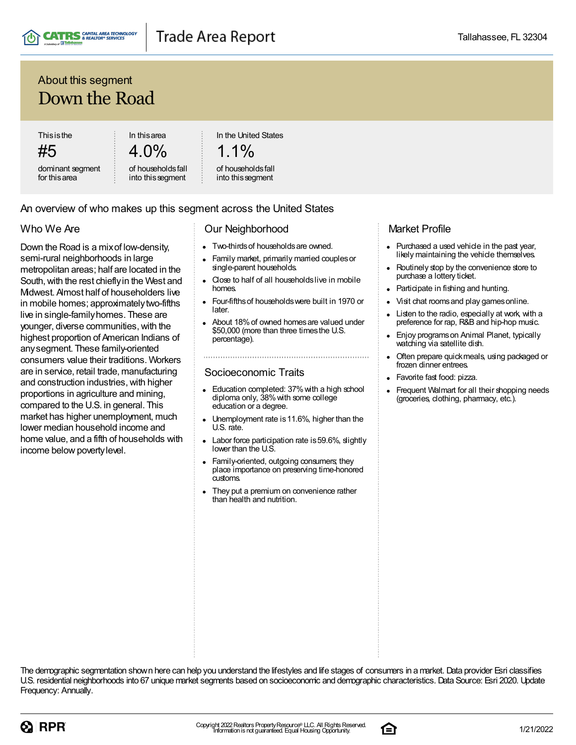

### About this segment Down the Road

**Thisisthe** 

#5 dominant segment for thisarea

4.0% of householdsfall

into thissegment

In thisarea

An overview of who makes up this segment across the United States

In the United States

1.1% of householdsfall

#### Who We Are

Down the Road is a mixof low-density, semi-rural neighborhoods in large metropolitan areas; half are located in the South, with the rest chiefly in the West and Midwest. Almost half of householders live in mobile homes; approximately two-fifths live in single-familyhomes. These are younger, diverse communities, with the highest proportion of American Indians of anysegment. These family-oriented consumers value their traditions. Workers are in service, retail trade, manufacturing and construction industries, with higher proportions in agriculture and mining, compared to the U.S. in general. This market has higher unemployment, much lower median household income and home value, and a fifth of households with income below poverty level.

#### Our Neighborhood

into thissegment

- Two-thirds of households are owned.
- Family market, primarily married couples or single-parent households.
- Close to half of all householdslive in mobile homes.
- Four-fifthsof householdswere built in 1970 or later.
- About 18%of owned homesare valued under \$50,000 (more than three timesthe U.S. percentage).

#### Socioeconomic Traits

- Education completed: 37% with a high school diploma only, 38% with some college education or a degree.
- Unemployment rate is11.6%, higher than the U.S. rate.
- Labor force participation rate is 59.6%, slightly lower than the U.S.
- Family-oriented, outgoing consumers; they place importance on preserving time-honored customs.
- They put a premium on convenience rather than health and nutrition.

#### Market Profile

- Purchased a used vehicle in the past year,  $\bullet$ likely maintaining the vehicle themselves.
- Routinely stop by the convenience store to purchase a lottery ticket.
- Participate in fishing and hunting.
- Visit chat rooms and play games online.
- Listen to the radio, especially at work, with a preference for rap, R&B and hip-hop music.
- Enjoy programson Animal Planet, typically  $\bullet$ watching via satellite dish.
- Often prepare quickmeals, using packaged or frozen dinner entrees.
- Favorite fast food: pizza.
- Frequent Walmart for all their shopping needs (groceries, clothing, pharmacy, etc.).



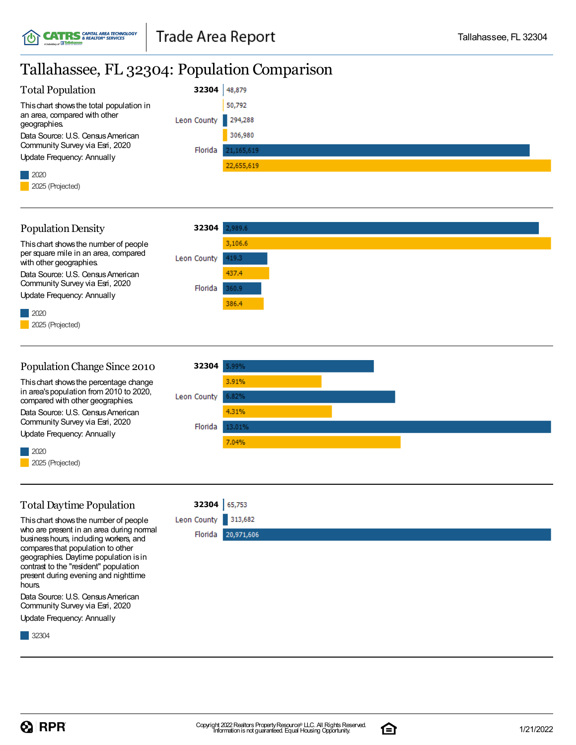### Tallahassee, FL 32304: Population Comparison

| <b>Total Population</b>                      | 32304               | 48,879     |
|----------------------------------------------|---------------------|------------|
| This chart shows the total population in     |                     | 50,792     |
| an area, compared with other<br>geographies. | Leon County 294,288 |            |
| Data Source: U.S. Census American            |                     | 306,980    |
| Community Survey via Esri, 2020              | Florida             | 21,165,619 |
| Update Frequency: Annually                   |                     |            |
|                                              |                     | 22,655,619 |
| $\vert$ 2020                                 |                     |            |
| 2025 (Projected)                             |                     |            |



#### PopulationChange Since 2010 **32304** 5.99% Thischart showsthe percentage change 3.91% in area'spopulation from 2010 to 2020, Leon County compared with other geographies. 4.31% Data Source: U.S. Census American Community Survey via Esri, 2020 Florida 13.01% Update Frequency: Annually 7.04% 2020 2025 (Projected)

### TotalDaytime Population

Thischart showsthe number of people who are present in an area during normal businesshours, including workers, and comparesthat population to other geographies. Daytime population isin contrast to the "resident" population present during evening and nighttime hours.

Data Source: U.S. Census American Community Survey via Esri, 2020 Update Frequency: Annually

32304



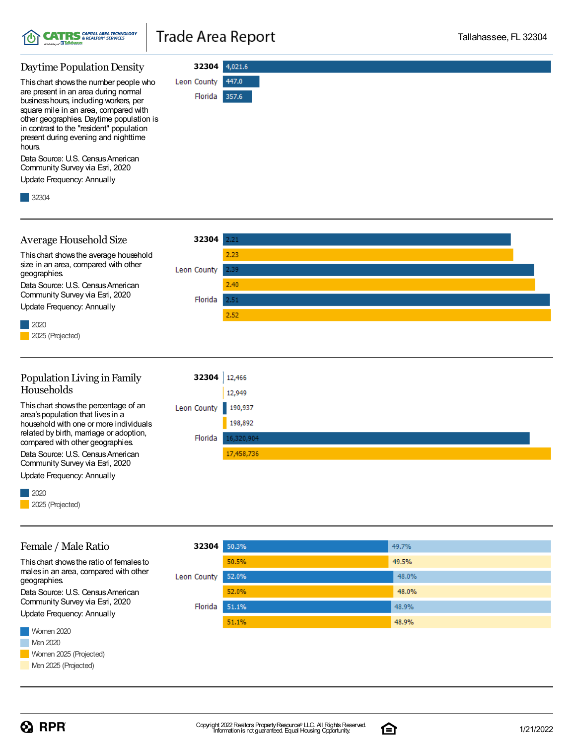

**32304**

Florida 357.6

447.0

Leon County

#### Daytime Population Density

Thischart showsthe number people who are present in an area during normal businesshours, including workers, per square mile in an area, compared with other geographies. Daytime population is in contrast to the "resident" population present during evening and nighttime hours.

Data Source: U.S. Census American Community Survey via Esri, 2020

Update Frequency: Annually

32304



# Female / Male Ratio

Update Frequency: Annually

2025 (Projected)

2020

| 32304       | 50.3% | 49.7% |
|-------------|-------|-------|
|             | 50.5% | 49.5% |
| Leon County | 52.0% | 48.0% |
|             | 52.0% | 48.0% |
| Florida     | 51.1% | 48.9% |
|             | 51.1% | 48.9% |

Women 2020 malesin an area, compared with other geographies. Data Source: U.S. Census American Community Survey via Esri, 2020 Update Frequency: Annually

Thischart showsthe ratio of femalesto



 $\Omega$  RPR



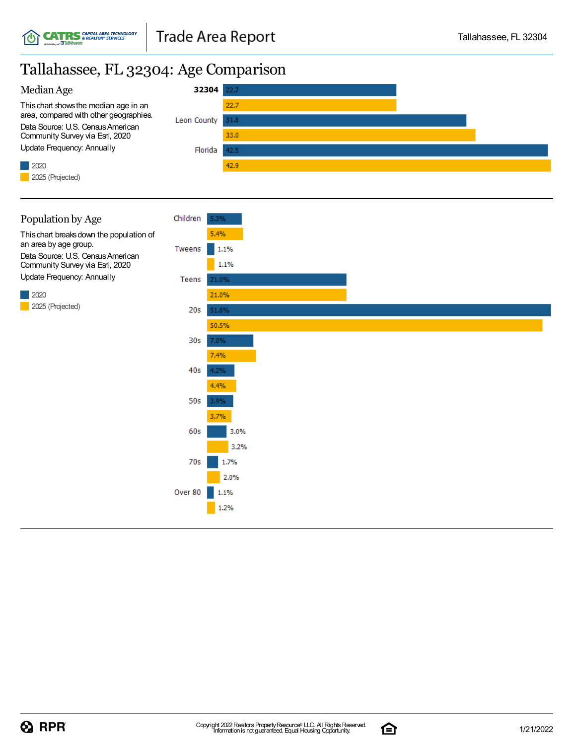### Tallahassee, FL 32304: Age Comparison





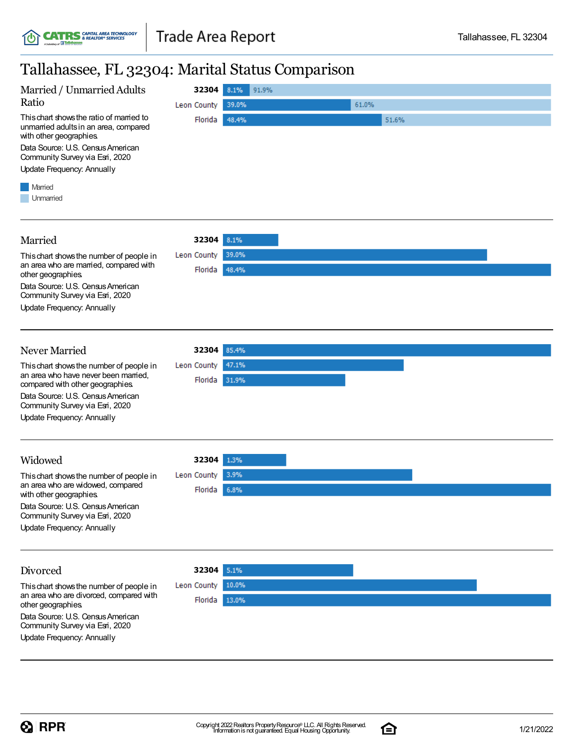### Tallahassee, FL 32304: Marital Status Comparison

| randnassee, r D ()404. Marriar Status Comparison                                                                                                                                                                              |             |                |  |
|-------------------------------------------------------------------------------------------------------------------------------------------------------------------------------------------------------------------------------|-------------|----------------|--|
| Married / Unmarried Adults                                                                                                                                                                                                    | 32304 8.1%  | 91.9%          |  |
| Ratio                                                                                                                                                                                                                         | Leon County | 39.0%<br>61.0% |  |
| This chart shows the ratio of married to<br>unmarried adults in an area, compared<br>with other geographies.<br>Data Source: U.S. Census American<br>Community Survey via Esri, 2020<br>Update Frequency: Annually<br>Married | Florida     | 48.4%<br>51.6% |  |
| Unmarried                                                                                                                                                                                                                     |             |                |  |
| Married                                                                                                                                                                                                                       | 32304       | 8.1%           |  |
| This chart shows the number of people in                                                                                                                                                                                      | Leon County | 39.0%          |  |
| an area who are married, compared with<br>other geographies.                                                                                                                                                                  | Florida     | 48.4%          |  |
| Data Source: U.S. Census American<br>Community Survey via Esri, 2020                                                                                                                                                          |             |                |  |
| <b>Update Frequency: Annually</b>                                                                                                                                                                                             |             |                |  |
| Never Married                                                                                                                                                                                                                 | 32304       | 85.4%          |  |
| This chart shows the number of people in                                                                                                                                                                                      | Leon County | 47.1%          |  |
| an area who have never been married,<br>compared with other geographies.                                                                                                                                                      | Florida     | 31.9%          |  |
| Data Source: U.S. Census American<br>Community Survey via Esri, 2020                                                                                                                                                          |             |                |  |
| <b>Update Frequency: Annually</b>                                                                                                                                                                                             |             |                |  |
| Widowed                                                                                                                                                                                                                       | 32304       | 1.3%           |  |
| This chart shows the number of people in                                                                                                                                                                                      | Leon County | 3.9%           |  |
| an area who are widowed, compared<br>with other geographies.                                                                                                                                                                  | Florida     | 6.8%           |  |
| Data Source: U.S. Census American<br>Community Survey via Esri, 2020                                                                                                                                                          |             |                |  |
| <b>Update Frequency: Annually</b>                                                                                                                                                                                             |             |                |  |
| Divorced                                                                                                                                                                                                                      | 32304       | 5.1%           |  |
| This chart shows the number of people in                                                                                                                                                                                      | Leon County | 10.0%          |  |
| an area who are divorced, compared with<br>other geographies.                                                                                                                                                                 | Florida     | 13.0%          |  |
| Data Source: U.S. Census American<br>Community Survey via Esri, 2020                                                                                                                                                          |             |                |  |
| Update Frequency: Annually                                                                                                                                                                                                    |             |                |  |

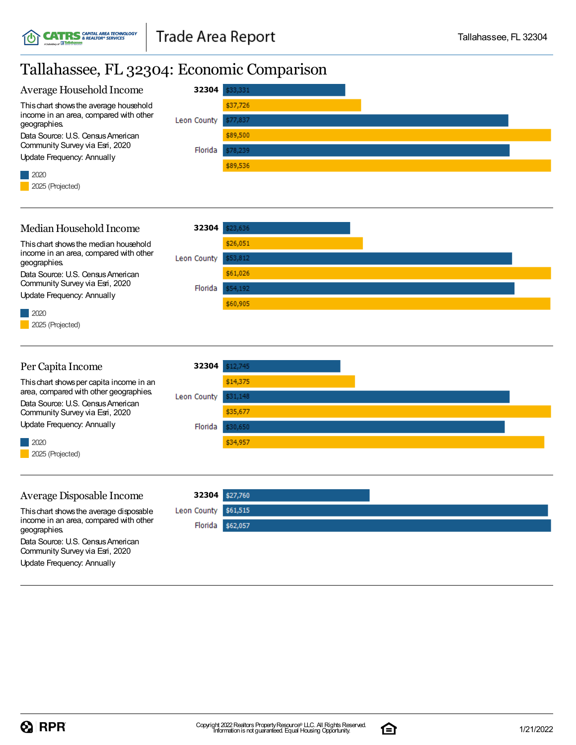### Tallahassee, FL 32304: Economic Comparison



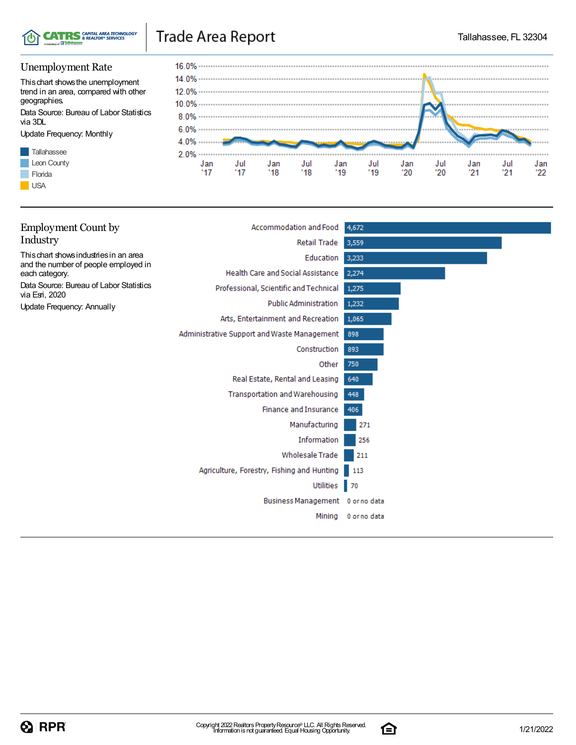

### Trade Area Report

#### Unemployment Rate

Thischart showsthe unemployment trend in an area, compared with other geographies.

Data Source: Bureau of Labor Statistics via 3DL

Update Frequency: Monthly





| <b>Employment Count by</b>                                | Accommodation and Food                      | 4,672             |
|-----------------------------------------------------------|---------------------------------------------|-------------------|
| Industry                                                  | Retail Trade                                | 3,559             |
| This chart shows industries in an area                    | Education                                   | 3,233             |
| and the number of people employed in<br>each category.    | Health Care and Social Assistance           | 2,274             |
| Data Source: Bureau of Labor Statistics<br>via Esri, 2020 | Professional, Scientific and Technical      | 1,275             |
| Update Frequency: Annually                                | <b>Public Administration</b>                | 1,232             |
|                                                           | Arts, Entertainment and Recreation          | 1,065             |
|                                                           | Administrative Support and Waste Management | 898               |
|                                                           | Construction                                | 893               |
|                                                           | Other                                       | 750               |
|                                                           | Real Estate, Rental and Leasing             | 640               |
|                                                           | Transportation and Warehousing              | 448               |
|                                                           | <b>Finance and Insurance</b>                | 406               |
|                                                           | Manufacturing                               | 271               |
|                                                           | Information                                 | 256               |
|                                                           | <b>Wholesale Trade</b>                      | 211               |
|                                                           | Agriculture, Forestry, Fishing and Hunting  | 113               |
|                                                           | Utilities                                   | $\blacksquare$ 70 |
|                                                           | Business Management 0 or no data            |                   |
|                                                           | Mining                                      | 0 or no data      |
|                                                           |                                             |                   |

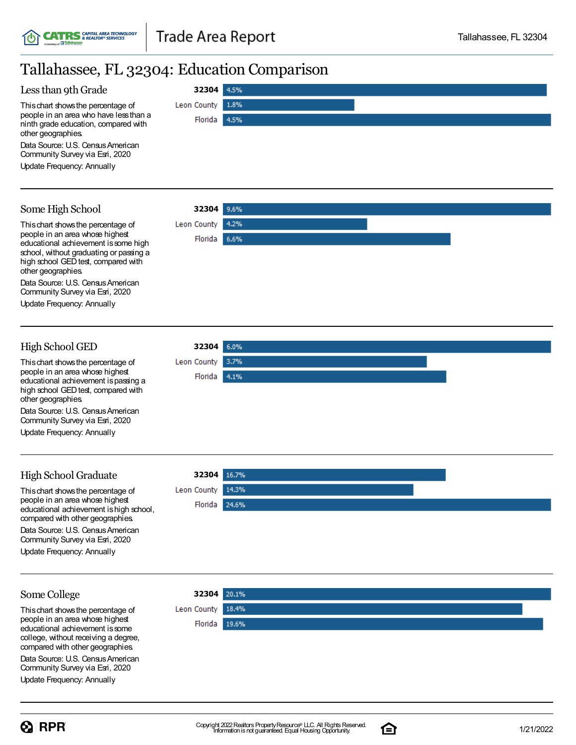**32304**

Florida

**Leon County** 

4.5%

1.8%

4.5%

### Tallahassee, FL 32304: Education Comparison

#### Less than 9th Grade

Thischart showsthe percentage of people in an area who have lessthan a ninth grade education, compared with other geographies.

Data Source: U.S. Census American Community Survey via Esri, 2020

Update Frequency: Annually

#### Some High School

Thischart showsthe percentage of people in an area whose highest educational achievement is some high school, without graduating or passing a high school GED test, compared with other geographies.

Data Source: U.S. Census American Community Survey via Esri, 2020

Update Frequency: Annually

#### High School GED

Thischart showsthe percentage of people in an area whose highest educational achievement ispassing a high school GED test, compared with other geographies.

Data Source: U.S. Census American Community Survey via Esri, 2020

Update Frequency: Annually

### High School Graduate

This chart shows the percentage of people in an area whose highest educational achievement ishigh school, compared with other geographies. Data Source: U.S. Census American Community Survey via Esri, 2020

Update Frequency: Annually

#### **32304** Leon County 14.3% Florida 24.6%

**32304**

Leon County Florida

 $3.7%$ 

4.1%

#### Some College

Thischart showsthe percentage of people in an area whose highest educational achievement issome college, without receiving a degree, compared with other geographies.

Community Survey via Esri, 2020







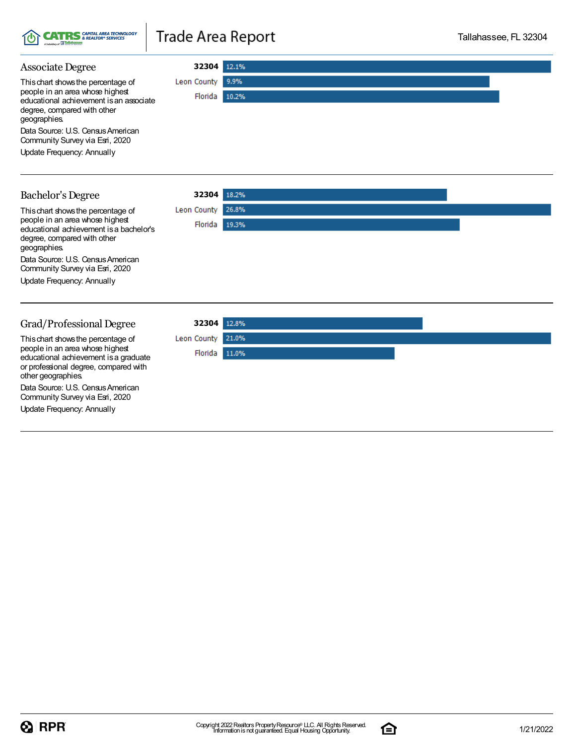

### Trade Area Report

#### Associate Degree **32304** Leon County 9.9% Thischart showsthe percentage of people in an area whose highest Florida 10.2% educational achievement isan associate degree, compared with other geographies. Data Source: U.S. Census American Community Survey via Esri, 2020 Update Frequency: Annually **32304** Bachelor's Degree Thischart showsthe percentage of Leon County 26.8% people in an area whose highest Florida 19.3% educational achievement isa bachelor's degree, compared with other geographies. Data Source: U.S. Census American Community Survey via Esri, 2020 Update Frequency: Annually Grad/Professional Degree **32304** 21.0% Leon County Thischart showsthe percentage of people in an area whose highest Florida 11.0%

educational achievement isa graduate or professional degree, compared with other geographies.

Data Source: U.S. Census American Community Survey via Esri, 2020

Update Frequency: Annually



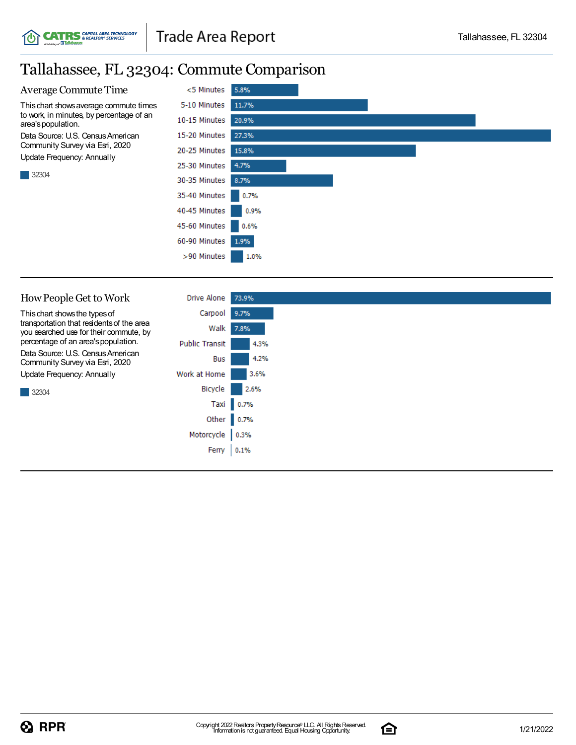### Tallahassee, FL 32304: Commute Comparison

**CATRS** *GAPITAL AREA TECHNOLOGY* 



| How People Get to Work                                                              | Drive Alone           | 73.9%     |
|-------------------------------------------------------------------------------------|-----------------------|-----------|
| This chart shows the types of                                                       | Carpool               | 9.7%      |
| transportation that residents of the area<br>you searched use for their commute, by | Walk                  | 7.8%      |
| percentage of an area's population.                                                 | <b>Public Transit</b> | 4.3%      |
| Data Source: U.S. Census American<br>Community Survey via Esri, 2020                | Bus                   | 4.2%      |
| Update Frequency: Annually                                                          | Work at Home          | 3.6%      |
| 32304                                                                               | Bicycle               | 2.6%      |
|                                                                                     |                       | Taxi 0.7% |
|                                                                                     | Other 0.7%            |           |
|                                                                                     | Motorcycle            | 0.3%      |
|                                                                                     | Ferry                 | 0.1%      |
|                                                                                     |                       |           |

![](_page_15_Picture_7.jpeg)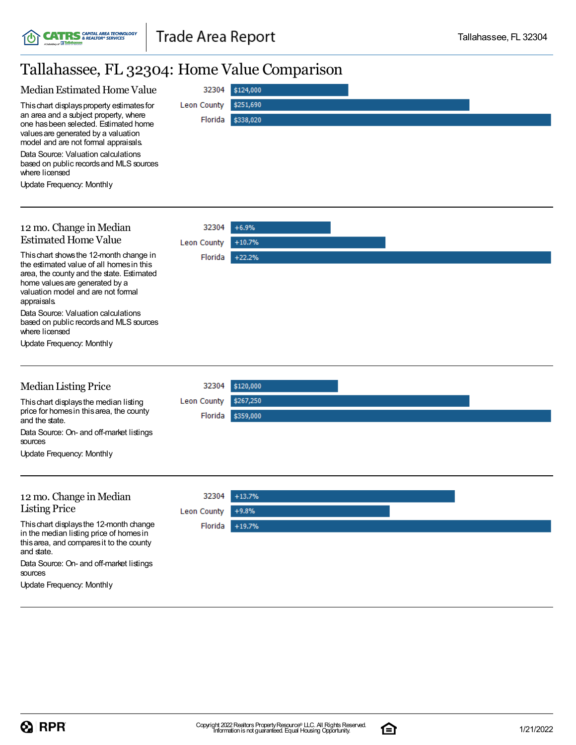### Tallahassee, FL 32304: Home Value Comparison

| Median Estimated Home Value                                                                                                                                                                                             | 32304                  | \$124,000              |  |
|-------------------------------------------------------------------------------------------------------------------------------------------------------------------------------------------------------------------------|------------------------|------------------------|--|
| This chart displays property estimates for<br>an area and a subject property, where<br>one has been selected. Estimated home<br>values are generated by a valuation<br>model and are not formal appraisals.             | Leon County<br>Florida | \$251,690<br>\$338,020 |  |
| Data Source: Valuation calculations<br>based on public records and MLS sources<br>where licensed                                                                                                                        |                        |                        |  |
| <b>Update Frequency: Monthly</b>                                                                                                                                                                                        |                        |                        |  |
| 12 mo. Change in Median                                                                                                                                                                                                 | 32304                  | $+6.9%$                |  |
| <b>Estimated Home Value</b>                                                                                                                                                                                             | <b>Leon County</b>     | $+10.7%$               |  |
| This chart shows the 12-month change in<br>the estimated value of all homes in this<br>area, the county and the state. Estimated<br>home values are generated by a<br>valuation model and are not formal<br>appraisals. | Florida                | $+22.2%$               |  |
| Data Source: Valuation calculations<br>based on public records and MLS sources<br>where licensed                                                                                                                        |                        |                        |  |
| Update Frequency: Monthly                                                                                                                                                                                               |                        |                        |  |
| <b>Median Listing Price</b>                                                                                                                                                                                             | 32304                  | \$120,000              |  |
| This chart displays the median listing<br>price for homes in this area, the county<br>and the state.                                                                                                                    | Leon County<br>Florida | \$267,250<br>\$359,000 |  |
| Data Source: On- and off-market listings<br>sources                                                                                                                                                                     |                        |                        |  |
| <b>Update Frequency: Monthly</b>                                                                                                                                                                                        |                        |                        |  |
| 12 mo. Change in Median                                                                                                                                                                                                 | 32304                  | $+13.7%$               |  |
| <b>Listing Price</b>                                                                                                                                                                                                    | <b>Leon County</b>     | $+9.8%$                |  |
| This chart displays the 12-month change<br>in the median listing price of homes in<br>this area, and compares it to the county<br>and state.                                                                            | Florida                | $+19.7%$               |  |
| Data Source: On- and off-market listings<br>sources                                                                                                                                                                     |                        |                        |  |
| Update Frequency: Monthly                                                                                                                                                                                               |                        |                        |  |

![](_page_16_Picture_7.jpeg)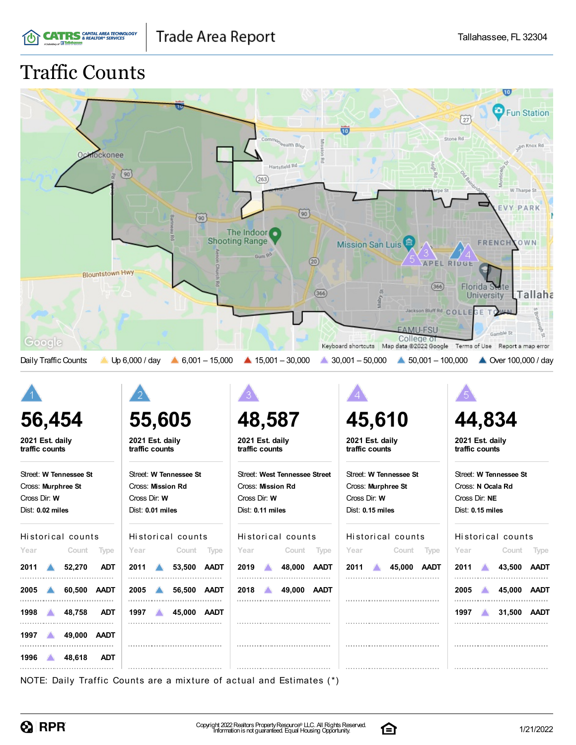![](_page_17_Picture_0.jpeg)

## Traffic Counts

|                                     |                                         |                                             |                                                                                        | $\overline{10}$                               |
|-------------------------------------|-----------------------------------------|---------------------------------------------|----------------------------------------------------------------------------------------|-----------------------------------------------|
|                                     |                                         |                                             |                                                                                        | <b>Fun Station</b>                            |
|                                     |                                         |                                             | $\overline{\mathbf{w}}$                                                                | $\left(\frac{27}{27}\right)$                  |
|                                     |                                         | Commo <sub>n Realth</sub> Bi <sub>ker</sub> |                                                                                        | Stone Rd<br>on Knox Rd                        |
| <b>Ochlockonee</b>                  |                                         | Hartsfield Rd                               |                                                                                        |                                               |
| 呂                                   | $\circ$                                 | (263)                                       | <b>High Rd</b>                                                                         |                                               |
|                                     |                                         |                                             |                                                                                        | W Tharpe St                                   |
|                                     |                                         | $\widetilde{90}$                            |                                                                                        | <b>Y PARK</b>                                 |
|                                     | $\left(90\right)$                       | The Indoor o                                |                                                                                        |                                               |
|                                     |                                         | <b>Shooting Range</b>                       | <b>Mission San Luis</b>                                                                | FRENCHYOWN                                    |
|                                     |                                         | Gum R <sup>o</sup><br>(20)                  |                                                                                        | <b>APEL RIDGE</b>                             |
| <b>Blountstown Hwy</b>              |                                         |                                             |                                                                                        |                                               |
|                                     |                                         | (366)                                       | (366)                                                                                  | Florida State<br>Tallaha<br><b>University</b> |
|                                     |                                         |                                             | Jackson Bluff Rd COLLE                                                                 |                                               |
|                                     |                                         |                                             | <b>EAMU-FSU</b>                                                                        | Gamble St                                     |
| Google                              |                                         |                                             | College of<br>Keyboard shortcuts Map data @2022 Google Terms of Use Report a map error |                                               |
| Daily Traffic Counts:<br>Z.         | $6,001 - 15,000$<br>Up 6,000 / day      | $\triangle$ 15,001 - 30,000                 | $\triangle$ 50,001 - 100,000<br>$30,001 - 50,000$                                      | ▲ Over 100,000 / day                          |
|                                     |                                         |                                             |                                                                                        |                                               |
|                                     |                                         |                                             |                                                                                        |                                               |
|                                     |                                         |                                             |                                                                                        |                                               |
| 56,454                              | 55,605                                  | 48,587                                      | 45,610                                                                                 | 44,834                                        |
| 2021 Est. daily<br>traffic counts   | 2021 Est. daily<br>traffic counts       | 2021 Est. daily<br>traffic counts           | 2021 Est. daily<br>traffic counts                                                      | 2021 Est. daily<br>traffic counts             |
|                                     |                                         |                                             |                                                                                        |                                               |
| Street: W Tennessee St              | Street: W Tennessee St                  | Street: West Tennessee Street               | Street: W Tennessee St                                                                 | Street: W Tennessee St                        |
| Cross: Murphree St<br>Cross Dir: W  | Cross: Mission Rd<br>Cross Dir: W       | Cross: Mission Rd<br>Cross Dir: W           | Cross: Murphree St<br>Cross Dir: W                                                     | Cross: N Ocala Rd<br>Cross Dir: NE            |
| Dist: 0.02 miles                    | Dist: 0.01 miles                        | Dist: 0.11 miles                            | Dist: 0.15 miles                                                                       | Dist: 0.15 miles                              |
|                                     |                                         |                                             |                                                                                        |                                               |
| Historical counts                   | Historical counts                       | Historical counts                           | Historical counts                                                                      | Historical counts                             |
| Count Type<br>Year                  | Count Type<br>Year                      | Count Type<br>Year                          | Count Type<br>Year                                                                     | Count Type<br>Year                            |
| 52,270<br><b>ADT</b><br>2011        | 53,500 AADT<br>2011<br>A                | 2019<br>48,000 AADT                         | 45,000 AADT<br>2011<br>$\mathbf{A}$                                                    | 2011<br>43,500 AADT<br><b>AND</b>             |
| 60,500 AADT<br>2005                 | 2005<br>56,500 AADT<br>$\blacktriangle$ | 49,000 AADT<br>2018<br>不知                   |                                                                                        | 2005<br>45,000 AADT<br>ZX.                    |
| 48,758<br><b>ADT</b><br>1998        |                                         |                                             |                                                                                        |                                               |
|                                     |                                         |                                             |                                                                                        |                                               |
|                                     | 45,000 AADT<br>1997<br>$\Delta$         |                                             |                                                                                        | 31,500 AADT<br>1997<br>$\triangle$            |
| 49,000 AADT<br>$1997$ $\rightarrow$ |                                         |                                             |                                                                                        |                                               |
| 48,618<br><b>ADT</b><br>1996        |                                         |                                             |                                                                                        |                                               |

 $\bigotimes$  RPR

![](_page_17_Picture_7.jpeg)